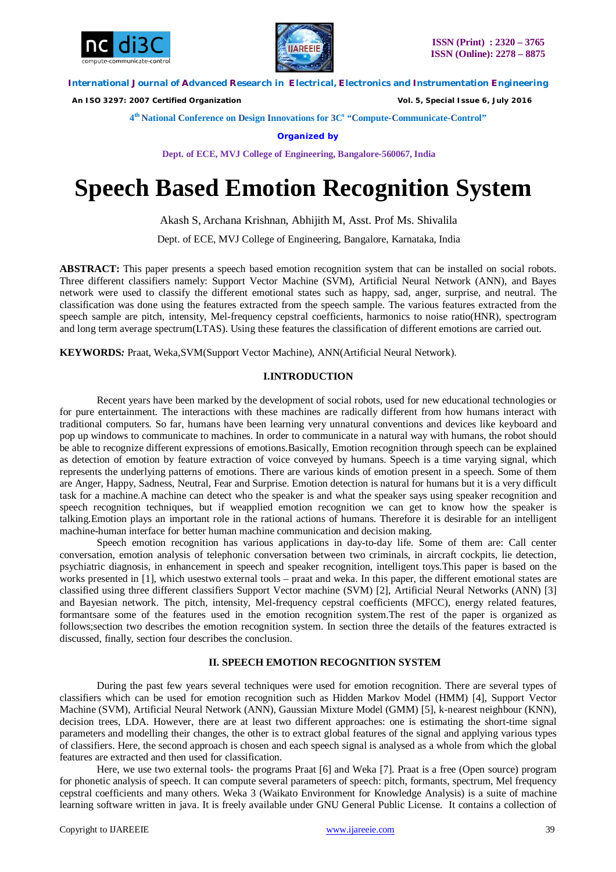



 *An ISO 3297: 2007 Certified Organization Vol. 5, Special Issue 6, July 2016*

**4 th National Conference on Design Innovations for 3C s "Compute-Communicate-Control"** 

**Organized by**

**Dept. of ECE, MVJ College of Engineering, Bangalore-560067, India**

# **Speech Based Emotion Recognition System**

Akash S, Archana Krishnan, Abhijith M, Asst. Prof Ms. Shivalila

Dept. of ECE, MVJ College of Engineering, Bangalore, Karnataka, India

**ABSTRACT:** This paper presents a speech based emotion recognition system that can be installed on social robots. Three different classifiers namely: Support Vector Machine (SVM), Artificial Neural Network (ANN), and Bayes network were used to classify the different emotional states such as happy, sad, anger, surprise, and neutral. The classification was done using the features extracted from the speech sample. The various features extracted from the speech sample are pitch, intensity, Mel-frequency cepstral coefficients, harmonics to noise ratio(HNR), spectrogram and long term average spectrum(LTAS). Using these features the classification of different emotions are carried out.

**KEYWORDS***:* Praat, Weka,SVM(Support Vector Machine), ANN(Artificial Neural Network).

# **I.INTRODUCTION**

Recent years have been marked by the development of social robots, used for new educational technologies or for pure entertainment. The interactions with these machines are radically different from how humans interact with traditional computers. So far, humans have been learning very unnatural conventions and devices like keyboard and pop up windows to communicate to machines. In order to communicate in a natural way with humans, the robot should be able to recognize different expressions of emotions.Basically, Emotion recognition through speech can be explained as detection of emotion by feature extraction of voice conveyed by humans. Speech is a time varying signal, which represents the underlying patterns of emotions. There are various kinds of emotion present in a speech. Some of them are Anger, Happy, Sadness, Neutral, Fear and Surprise. Emotion detection is natural for humans but it is a very difficult task for a machine.A machine can detect who the speaker is and what the speaker says using speaker recognition and speech recognition techniques, but if weapplied emotion recognition we can get to know how the speaker is talking.Emotion plays an important role in the rational actions of humans. Therefore it is desirable for an intelligent machine-human interface for better human machine communication and decision making.

Speech emotion recognition has various applications in day-to-day life. Some of them are: Call center conversation, emotion analysis of telephonic conversation between two criminals, in aircraft cockpits, lie detection, psychiatric diagnosis, in enhancement in speech and speaker recognition, intelligent toys.This paper is based on the works presented in [1], which usestwo external tools – praat and weka. In this paper, the different emotional states are classified using three different classifiers Support Vector machine (SVM) [2], Artificial Neural Networks (ANN) [3] and Bayesian network. The pitch, intensity, Mel-frequency cepstral coefficients (MFCC), energy related features, formantsare some of the features used in the emotion recognition system.The rest of the paper is organized as follows;section two describes the emotion recognition system. In section three the details of the features extracted is discussed, finally, section four describes the conclusion.

## **II. SPEECH EMOTION RECOGNITION SYSTEM**

During the past few years several techniques were used for emotion recognition. There are several types of classifiers which can be used for emotion recognition such as Hidden Markov Model (HMM) [4], Support Vector Machine (SVM), Artificial Neural Network (ANN), Gaussian Mixture Model (GMM) [5], k-nearest neighbour (KNN), decision trees, LDA. However, there are at least two different approaches: one is estimating the short-time signal parameters and modelling their changes, the other is to extract global features of the signal and applying various types of classifiers. Here, the second approach is chosen and each speech signal is analysed as a whole from which the global features are extracted and then used for classification.

Here, we use two external tools- the programs Praat [6] and Weka [7]. Praat is a free (Open source) program for phonetic analysis of speech. It can compute several parameters of speech: pitch, formants, spectrum, Mel frequency cepstral coefficients and many others. Weka 3 (Waikato Environment for Knowledge Analysis) is a suite of machine learning software written in java. It is freely available under GNU General Public License. It contains a collection of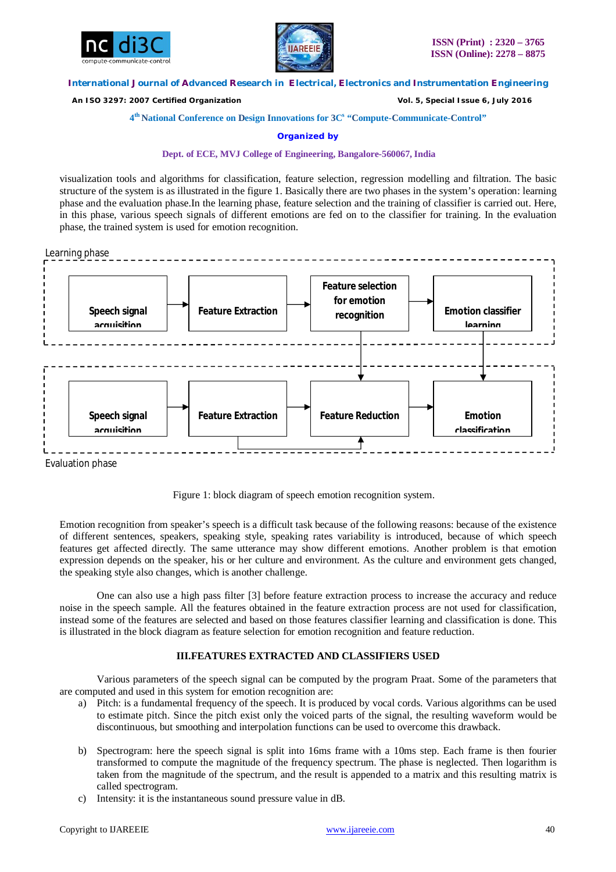



 *An ISO 3297: 2007 Certified Organization Vol. 5, Special Issue 6, July 2016*

## **4 th National Conference on Design Innovations for 3C s "Compute-Communicate-Control"**

## **Organized by**

## **Dept. of ECE, MVJ College of Engineering, Bangalore-560067, India**

visualization tools and algorithms for classification, feature selection, regression modelling and filtration. The basic structure of the system is as illustrated in the figure 1. Basically there are two phases in the system's operation: learning phase and the evaluation phase.In the learning phase, feature selection and the training of classifier is carried out. Here, in this phase, various speech signals of different emotions are fed on to the classifier for training. In the evaluation phase, the trained system is used for emotion recognition.

Learning phase



Evaluation phase



Emotion recognition from speaker's speech is a difficult task because of the following reasons: because of the existence of different sentences, speakers, speaking style, speaking rates variability is introduced, because of which speech features get affected directly. The same utterance may show different emotions. Another problem is that emotion expression depends on the speaker, his or her culture and environment. As the culture and environment gets changed, the speaking style also changes, which is another challenge.

One can also use a high pass filter [3] before feature extraction process to increase the accuracy and reduce noise in the speech sample. All the features obtained in the feature extraction process are not used for classification, instead some of the features are selected and based on those features classifier learning and classification is done. This is illustrated in the block diagram as feature selection for emotion recognition and feature reduction.

# **III.FEATURES EXTRACTED AND CLASSIFIERS USED**

Various parameters of the speech signal can be computed by the program Praat. Some of the parameters that are computed and used in this system for emotion recognition are:

- a) Pitch: is a fundamental frequency of the speech. It is produced by vocal cords. Various algorithms can be used to estimate pitch. Since the pitch exist only the voiced parts of the signal, the resulting waveform would be discontinuous, but smoothing and interpolation functions can be used to overcome this drawback.
- b) Spectrogram: here the speech signal is split into 16ms frame with a 10ms step. Each frame is then fourier transformed to compute the magnitude of the frequency spectrum. The phase is neglected. Then logarithm is taken from the magnitude of the spectrum, and the result is appended to a matrix and this resulting matrix is called spectrogram.
- c) Intensity: it is the instantaneous sound pressure value in dB.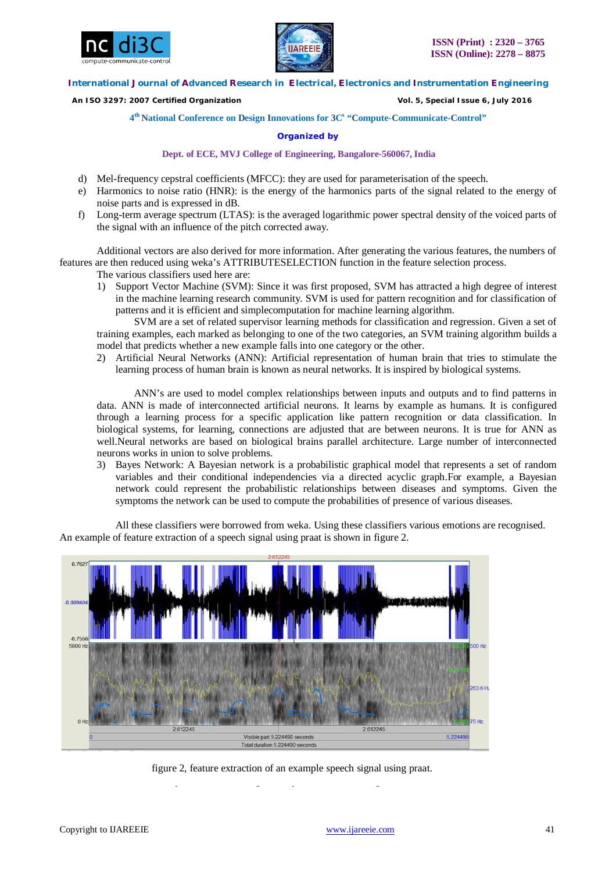



 *An ISO 3297: 2007 Certified Organization Vol. 5, Special Issue 6, July 2016*

**4 th National Conference on Design Innovations for 3C s "Compute-Communicate-Control"** 

## **Organized by**

## **Dept. of ECE, MVJ College of Engineering, Bangalore-560067, India**

- d) Mel-frequency cepstral coefficients (MFCC): they are used for parameterisation of the speech.
- e) Harmonics to noise ratio (HNR): is the energy of the harmonics parts of the signal related to the energy of noise parts and is expressed in dB.
- f) Long-term average spectrum (LTAS): is the averaged logarithmic power spectral density of the voiced parts of the signal with an influence of the pitch corrected away.

Additional vectors are also derived for more information. After generating the various features, the numbers of features are then reduced using weka's ATTRIBUTESELECTION function in the feature selection process.

- The various classifiers used here are:
- 1) Support Vector Machine (SVM): Since it was first proposed, SVM has attracted a high degree of interest in the machine learning research community. SVM is used for pattern recognition and for classification of patterns and it is efficient and simplecomputation for machine learning algorithm.

SVM are a set of related supervisor learning methods for classification and regression. Given a set of training examples, each marked as belonging to one of the two categories, an SVM training algorithm builds a model that predicts whether a new example falls into one category or the other.

2) Artificial Neural Networks (ANN): Artificial representation of human brain that tries to stimulate the learning process of human brain is known as neural networks. It is inspired by biological systems.

ANN's are used to model complex relationships between inputs and outputs and to find patterns in data. ANN is made of interconnected artificial neurons. It learns by example as humans. It is configured through a learning process for a specific application like pattern recognition or data classification. In biological systems, for learning, connections are adjusted that are between neurons. It is true for ANN as well.Neural networks are based on biological brains parallel architecture. Large number of interconnected neurons works in union to solve problems.

3) Bayes Network: A Bayesian network is a probabilistic graphical model that represents a set of random variables and their conditional independencies via a directed acyclic graph.For example, a Bayesian network could represent the probabilistic relationships between diseases and symptoms. Given the symptoms the network can be used to compute the probabilities of presence of various diseases.

All these classifiers were borrowed from weka. Using these classifiers various emotions are recognised. An example of feature extraction of a speech signal using praat is shown in figure 2.



figure 2, feature extraction of an example speech signal using praat.

The basic flowchart of the speech emotion recognition system is shown in figure 4.